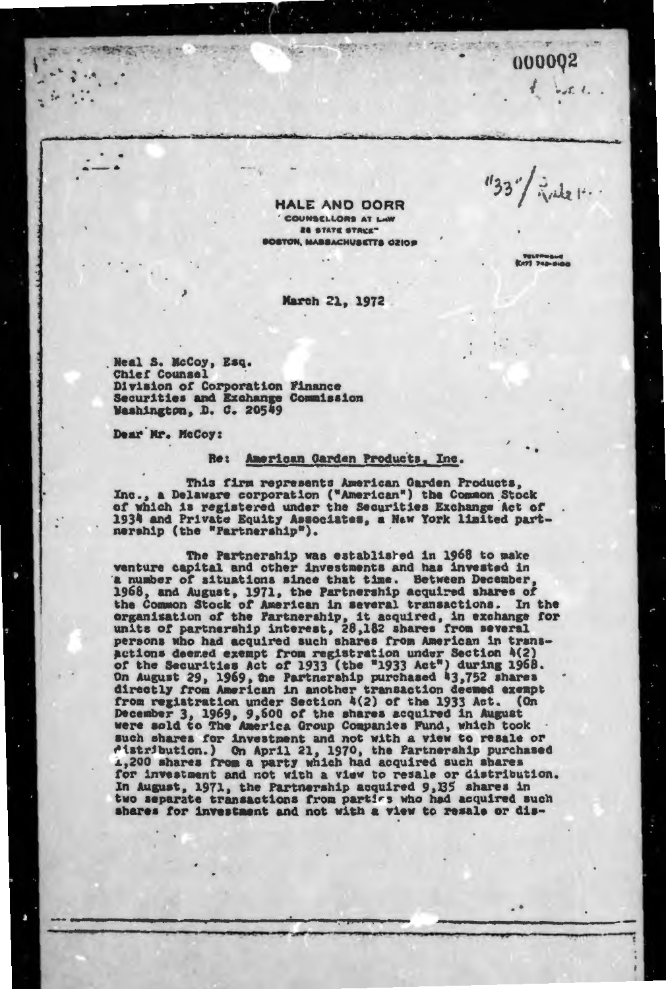000002

 $-55.4.$ 

**HALE AND DORR** COUNSELLORS AT LAW **28 STATE STRUET** STON, MASSACHUSETTS OZIOS

March 21, 1972

Neal S. McCoy, Esq. **Chief Counsel** Division of Corporation Finance Securities and Exchange Commission Washington, D. C. 20549

Dear Mr. McCoy:

## Re: American Garden Products, Inc.

This firm represents American Garden Products,<br>Inc., a Delaware corporation ("American") the Common Stock<br>of which is registered under the Securities Exchange Act of 1934 and Private Equity Associates, a New York limited partnership (the "Partnership").

The Partnership was established in 1968 to make<br>venture capital and other investments and has invested in a number of situations since that time. Between December 1968, and August, 1971, the Partnership acquired shares of the Common Stock of American in several transactions. In the organization of the Partnership, it acquired, in exchange for units of partnership interest, 28,182 shares from several persons who had acquired such shares from actions deemed exempt from registration under Section 4(2)<br>of the Securities Act of 1933 (the "1933 Act") during 1968.<br>On August 29, 1969, the Partnership purchased 43,752 shares<br>directly from American in another transacti from registration under Section 4(2) of the 1933 Act.  $(0<sub>n</sub>$ December 3, 1969, 9,600 of the shares acquired in August<br>were sold to The America Group Companies Fund, which took<br>such shares for investment and not with a view to resale or<br>distribution.) On April 21, 1970, the Partnersh for investment and not with a view to resale or distribution. In August, 1971, the Partnership acquired 9,135 shares in two separate transactions from parties who had acquired such shares for investment and not with a view to resale or dis-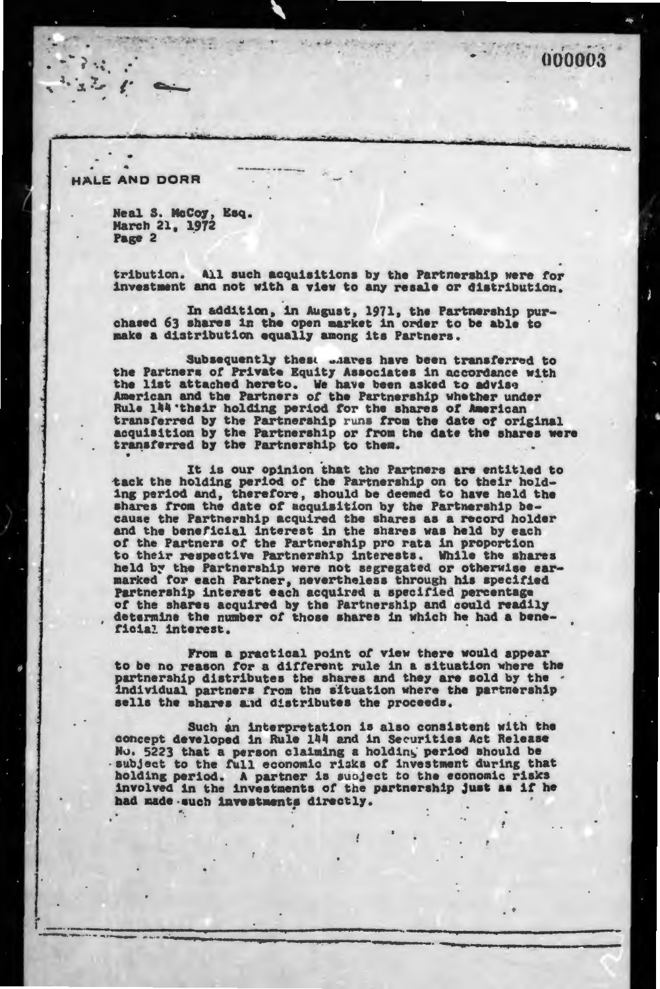000003

ALE AND DORR

Neal S. McCoy, Esq.<br>March 21, 1972 Page 2

All such acquisitions by the Partnership were for tribution. investment and not with a view to any resale or distribution.

In addition, in August, 1971, the Partnership pur-<br>chased 63 shares in the open market in order to be able to make a distribution equally among its Partners.

Subsequently these wheres have been transferred to the Partners of Private Equity Associates in accordance with the list attached hereto. We have been asked to advise American and the Partners of the Partnership whether under<br>Rule 144 their holding period for the shares of American<br>transferred by the Partnership runs from the date of original acquisition by the Partnership or from the date the shares were transferred by the Partnership to them.

It is our opinion that the Partners are entitled to tack the holding period of the Partnership on to their holding period and, therefore, should be deemed to have held the shares from the date of acquisition by the Partnership because the Partnership acquired the shares as a record holder and the beneficial interest in the shares was held by each of the Partners of the Partnership pro rata in proportion to their respective Partnership interests. While the shares held by the Partnership were not segregated or otherwise earmarked for each Partner, nevertheless through his specified Partnership interest each acquired a specified percentage of the shares acquired by the Partnership and could readily determine the number of those shares in which he had a beneficial interest.

From a practical point of view there would appear to be no reason for a different rule in a situation where the partnership distributes the shares and they are sold by the . individual partners from the situation where the partnership sells the shares and distributes the proceeds.

Such an interpretation is also consistent with the concept developed in Rule 144 and in Securities Act Release No. 5223 that a person claiming a holding period should be subject to the full economic risks of investment during that holding period. A partner is subject to the economic risks involved in the investments of the partnership just as if he had made such investments directly.